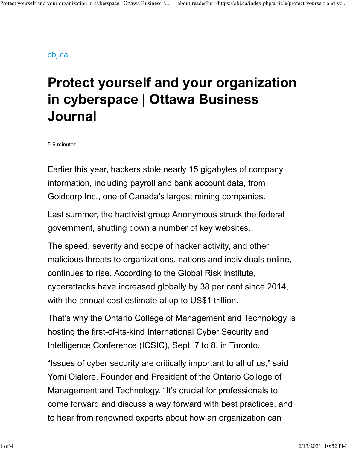#### obj.ca

# Protect yourself and your organization in cyberspace | Ottawa Business Journal

5-6 minutes

Earlier this year, hackers stole nearly 15 gigabytes of company information, including payroll and bank account data, from Goldcorp Inc., one of Canada's largest mining companies.

Last summer, the hactivist group Anonymous struck the federal government, shutting down a number of key websites.

The speed, severity and scope of hacker activity, and other malicious threats to organizations, nations and individuals online, continues to rise. According to the Global Risk Institute, cyberattacks have increased globally by 38 per cent since 2014, with the annual cost estimate at up to US\$1 trillion.

That's why the Ontario College of Management and Technology is hosting the first-of-its-kind International Cyber Security and Intelligence Conference (ICSIC), Sept. 7 to 8, in Toronto.

"Issues of cyber security are critically important to all of us," said Yomi Olalere, Founder and President of the Ontario College of Management and Technology. "It's crucial for professionals to come forward and discuss a way forward with best practices, and to hear from renowned experts about how an organization can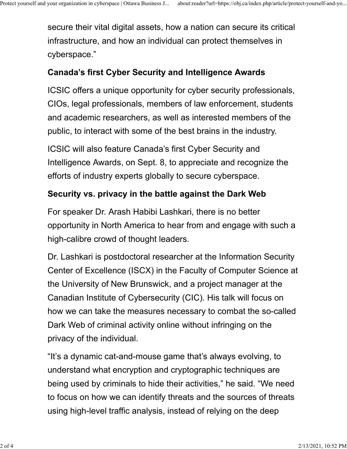secure their vital digital assets, how a nation can secure its critical infrastructure, and how an individual can protect themselves in cyberspace." Protect yourself and your organization in cyberspace | Ottawa Business J... about:reader?url=https://obj.ca/index.php/article/protect-yourself-and-yo...<br>Secure their vital digital assets, how a nation can secure its critic

### Canada's first Cyber Security and Intelligence Awards

ICSIC offers a unique opportunity for cyber security professionals, CIOs, legal professionals, members of law enforcement, students and academic researchers, as well as interested members of the public, to interact with some of the best brains in the industry.

ICSIC will also feature Canada's first Cyber Security and Intelligence Awards, on Sept. 8, to appreciate and recognize the efforts of industry experts globally to secure cyberspace.

#### Security vs. privacy in the battle against the Dark Web

For speaker Dr. Arash Habibi Lashkari, there is no better opportunity in North America to hear from and engage with such a high-calibre crowd of thought leaders.

Dr. Lashkari is postdoctoral researcher at the Information Security Center of Excellence (ISCX) in the Faculty of Computer Science at the University of New Brunswick, and a project manager at the Canadian Institute of Cybersecurity (CIC). His talk will focus on how we can take the measures necessary to combat the so-called Dark Web of criminal activity online without infringing on the privacy of the individual.

"It's a dynamic cat-and-mouse game that's always evolving, to understand what encryption and cryptographic techniques are being used by criminals to hide their activities," he said. "We need to focus on how we can identify threats and the sources of threats using high-level traffic analysis, instead of relying on the deep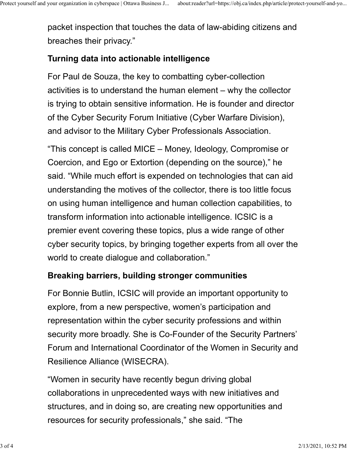packet inspection that touches the data of law-abiding citizens and breaches their privacy." Protect yourself and your organization in cyberspace | Ottawa Business J... about:reader?url=https://obj.ca/index.php/article/protect-yourself-and-yo...<br>packet inspection that touches the data of law-abiding citizens and<br>h

## Turning data into actionable intelligence

For Paul de Souza, the key to combatting cyber-collection activities is to understand the human element – why the collector is trying to obtain sensitive information. He is founder and director of the Cyber Security Forum Initiative (Cyber Warfare Division), and advisor to the Military Cyber Professionals Association.

"This concept is called MICE – Money, Ideology, Compromise or Coercion, and Ego or Extortion (depending on the source)," he said. "While much effort is expended on technologies that can aid understanding the motives of the collector, there is too little focus on using human intelligence and human collection capabilities, to transform information into actionable intelligence. ICSIC is a premier event covering these topics, plus a wide range of other cyber security topics, by bringing together experts from all over the world to create dialogue and collaboration."

#### Breaking barriers, building stronger communities

For Bonnie Butlin, ICSIC will provide an important opportunity to explore, from a new perspective, women's participation and representation within the cyber security professions and within security more broadly. She is Co-Founder of the Security Partners' Forum and International Coordinator of the Women in Security and Resilience Alliance (WISECRA).

"Women in security have recently begun driving global collaborations in unprecedented ways with new initiatives and structures, and in doing so, are creating new opportunities and resources for security professionals," she said. "The